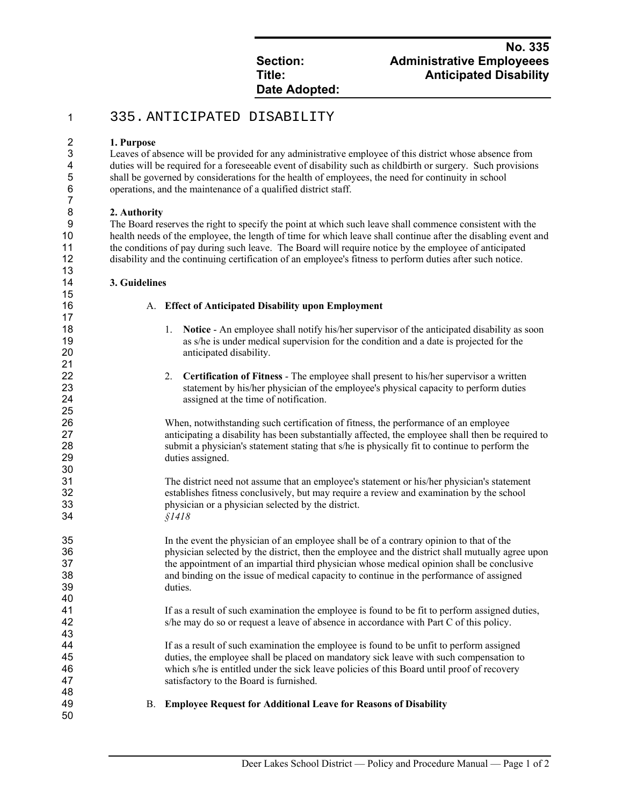# **Date Adopted:**

## **No. 335 Section: Administrative Employeees Title: Anticipated Disability**

## 335. ANTICIPATED DISABILITY

### **1. Purpose**

Leaves of absence will be provided for any administrative employee of this district whose absence from duties will be required for a foreseeable event of disability such as childbirth or surgery. Such provisions shall be governed by considerations for the health of employees, the need for continuity in school operations, and the maintenance of a qualified district staff.

### **2. Authority**

21<br>22

The Board reserves the right to specify the point at which such leave shall commence consistent with the health needs of the employee, the length of time for which leave shall continue after the disabling event and the conditions of pay during such leave. The Board will require notice by the employee of anticipated disability and the continuing certification of an employee's fitness to perform duties after such notice.

#### **3. Guidelines**

A. **Effect of Anticipated Disability upon Employment**

- 18 18 1. **Notice** An employee shall notify his/her supervisor of the anticipated disability as soon as s/he is under medical supervision for the condition and a date is projected for the anticipated disability.
- 2. **Certification of Fitness** The employee shall present to his/her supervisor a written statement by his/her physician of the employee's physical capacity to perform duties assigned at the time of notification.

26 26 When, notwithstanding such certification of fitness, the performance of an employee 27 27 27 anticipating a disability has been substantially affected, the employee shall then be required to<br>28 submit a physician's statement stating that s/he is physically fit to continue to perform the submit a physician's statement stating that s/he is physically fit to continue to perform the duties assigned.

The district need not assume that an employee's statement or his/her physician's statement establishes fitness conclusively, but may require a review and examination by the school physician or a physician selected by the district. *§1418* 

In the event the physician of an employee shall be of a contrary opinion to that of the physician selected by the district, then the employee and the district shall mutually agree upon the appointment of an impartial third physician whose medical opinion shall be conclusive and binding on the issue of medical capacity to continue in the performance of assigned duties.

41 If as a result of such examination the employee is found to be fit to perform assigned duties,<br>42 s/he may do so or request a leave of absence in accordance with Part C of this policy. s/he may do so or request a leave of absence in accordance with Part C of this policy.

If as a result of such examination the employee is found to be unfit to perform assigned duties, the employee shall be placed on mandatory sick leave with such compensation to which s/he is entitled under the sick leave policies of this Board until proof of recovery satisfactory to the Board is furnished.

- 
- B. **Employee Request for Additional Leave for Reasons of Disability**